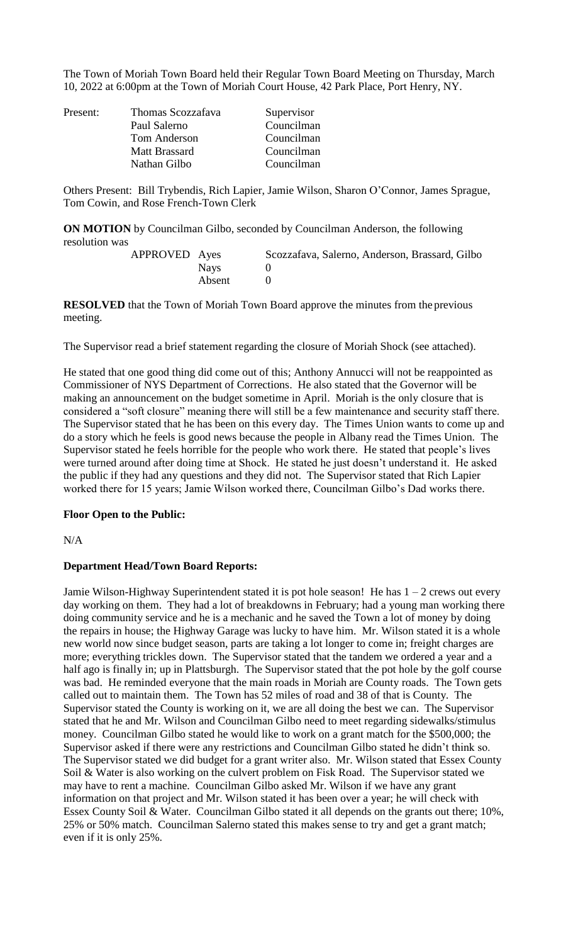The Town of Moriah Town Board held their Regular Town Board Meeting on Thursday, March 10, 2022 at 6:00pm at the Town of Moriah Court House, 42 Park Place, Port Henry, NY.

| Present: | Thomas Scozzafava<br>Paul Salerno<br><b>Tom Anderson</b> | Supervisor<br>Councilman<br>Councilman |
|----------|----------------------------------------------------------|----------------------------------------|
|          | <b>Matt Brassard</b><br>Nathan Gilbo                     | Councilman<br>Councilman               |

Others Present: Bill Trybendis, Rich Lapier, Jamie Wilson, Sharon O'Connor, James Sprague, Tom Cowin, and Rose French-Town Clerk

**ON MOTION** by Councilman Gilbo, seconded by Councilman Anderson, the following resolution was

| APPROVED Ayes |        | Scozzafava, Salerno, Anderson, Brassard, Gilbo |
|---------------|--------|------------------------------------------------|
|               | Nays   |                                                |
|               | Absent |                                                |

**RESOLVED** that the Town of Moriah Town Board approve the minutes from the previous meeting.

The Supervisor read a brief statement regarding the closure of Moriah Shock (see attached).

He stated that one good thing did come out of this; Anthony Annucci will not be reappointed as Commissioner of NYS Department of Corrections. He also stated that the Governor will be making an announcement on the budget sometime in April. Moriah is the only closure that is considered a "soft closure" meaning there will still be a few maintenance and security staff there. The Supervisor stated that he has been on this every day. The Times Union wants to come up and do a story which he feels is good news because the people in Albany read the Times Union. The Supervisor stated he feels horrible for the people who work there. He stated that people's lives were turned around after doing time at Shock. He stated he just doesn't understand it. He asked the public if they had any questions and they did not. The Supervisor stated that Rich Lapier worked there for 15 years; Jamie Wilson worked there, Councilman Gilbo's Dad works there.

# **Floor Open to the Public:**

 $N/A$ 

# **Department Head/Town Board Reports:**

Jamie Wilson-Highway Superintendent stated it is pot hole season! He has  $1 - 2$  crews out every day working on them. They had a lot of breakdowns in February; had a young man working there doing community service and he is a mechanic and he saved the Town a lot of money by doing the repairs in house; the Highway Garage was lucky to have him. Mr. Wilson stated it is a whole new world now since budget season, parts are taking a lot longer to come in; freight charges are more; everything trickles down. The Supervisor stated that the tandem we ordered a year and a half ago is finally in; up in Plattsburgh. The Supervisor stated that the pot hole by the golf course was bad. He reminded everyone that the main roads in Moriah are County roads. The Town gets called out to maintain them. The Town has 52 miles of road and 38 of that is County. The Supervisor stated the County is working on it, we are all doing the best we can. The Supervisor stated that he and Mr. Wilson and Councilman Gilbo need to meet regarding sidewalks/stimulus money. Councilman Gilbo stated he would like to work on a grant match for the \$500,000; the Supervisor asked if there were any restrictions and Councilman Gilbo stated he didn't think so. The Supervisor stated we did budget for a grant writer also. Mr. Wilson stated that Essex County Soil & Water is also working on the culvert problem on Fisk Road. The Supervisor stated we may have to rent a machine. Councilman Gilbo asked Mr. Wilson if we have any grant information on that project and Mr. Wilson stated it has been over a year; he will check with Essex County Soil & Water. Councilman Gilbo stated it all depends on the grants out there; 10%, 25% or 50% match. Councilman Salerno stated this makes sense to try and get a grant match; even if it is only 25%.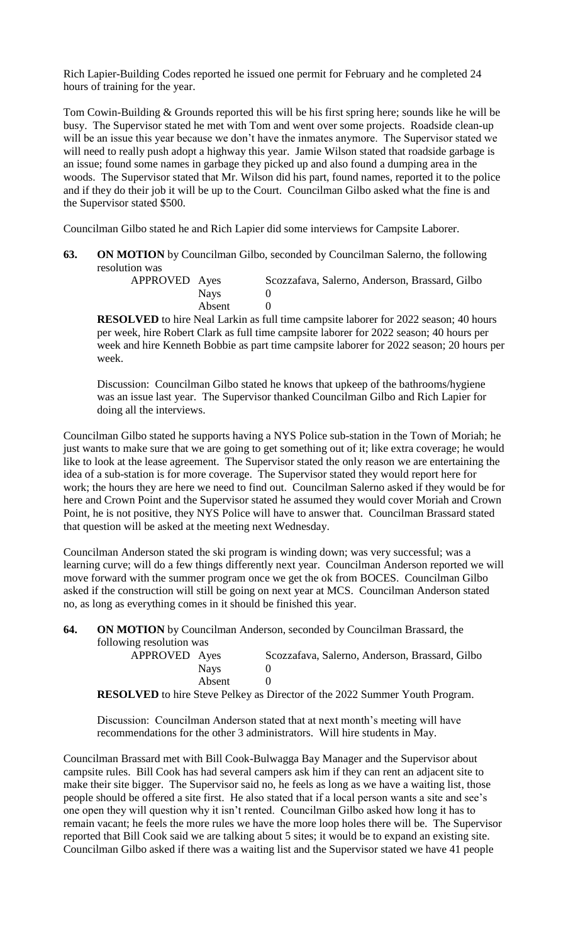Rich Lapier-Building Codes reported he issued one permit for February and he completed 24 hours of training for the year.

Tom Cowin-Building & Grounds reported this will be his first spring here; sounds like he will be busy. The Supervisor stated he met with Tom and went over some projects. Roadside clean-up will be an issue this year because we don't have the inmates anymore. The Supervisor stated we will need to really push adopt a highway this year. Jamie Wilson stated that roadside garbage is an issue; found some names in garbage they picked up and also found a dumping area in the woods. The Supervisor stated that Mr. Wilson did his part, found names, reported it to the police and if they do their job it will be up to the Court. Councilman Gilbo asked what the fine is and the Supervisor stated \$500.

Councilman Gilbo stated he and Rich Lapier did some interviews for Campsite Laborer.

**63. ON MOTION** by Councilman Gilbo, seconded by Councilman Salerno, the following resolution was

| APPROVED Ayes |        | Scozzafava, Salerno, Anderson, Brassard, Gilbo |
|---------------|--------|------------------------------------------------|
|               | Nays   |                                                |
|               | Absent |                                                |

**RESOLVED** to hire Neal Larkin as full time campsite laborer for 2022 season; 40 hours per week, hire Robert Clark as full time campsite laborer for 2022 season; 40 hours per week and hire Kenneth Bobbie as part time campsite laborer for 2022 season; 20 hours per week.

Discussion: Councilman Gilbo stated he knows that upkeep of the bathrooms/hygiene was an issue last year. The Supervisor thanked Councilman Gilbo and Rich Lapier for doing all the interviews.

Councilman Gilbo stated he supports having a NYS Police sub-station in the Town of Moriah; he just wants to make sure that we are going to get something out of it; like extra coverage; he would like to look at the lease agreement. The Supervisor stated the only reason we are entertaining the idea of a sub-station is for more coverage. The Supervisor stated they would report here for work; the hours they are here we need to find out. Councilman Salerno asked if they would be for here and Crown Point and the Supervisor stated he assumed they would cover Moriah and Crown Point, he is not positive, they NYS Police will have to answer that. Councilman Brassard stated that question will be asked at the meeting next Wednesday.

Councilman Anderson stated the ski program is winding down; was very successful; was a learning curve; will do a few things differently next year. Councilman Anderson reported we will move forward with the summer program once we get the ok from BOCES. Councilman Gilbo asked if the construction will still be going on next year at MCS. Councilman Anderson stated no, as long as everything comes in it should be finished this year.

**64. ON MOTION** by Councilman Anderson, seconded by Councilman Brassard, the following resolution was

| APPROVED Ayes |        | Scozzafava, Salerno, Anderson, Brassard, Gilbo                                                     |
|---------------|--------|----------------------------------------------------------------------------------------------------|
|               | Navs   |                                                                                                    |
|               | Absent |                                                                                                    |
|               |        | $\rm{DECOL}$ VED to him $\rm{Stavi}$ $\rm{Dollzovi}$ as Director of the 2022 Summer Vouth Dreament |

**RESOLVED** to hire Steve Pelkey as Director of the 2022 Summer Youth Program.

Discussion: Councilman Anderson stated that at next month's meeting will have recommendations for the other 3 administrators. Will hire students in May.

Councilman Brassard met with Bill Cook-Bulwagga Bay Manager and the Supervisor about campsite rules. Bill Cook has had several campers ask him if they can rent an adjacent site to make their site bigger. The Supervisor said no, he feels as long as we have a waiting list, those people should be offered a site first. He also stated that if a local person wants a site and see's one open they will question why it isn't rented. Councilman Gilbo asked how long it has to remain vacant; he feels the more rules we have the more loop holes there will be. The Supervisor reported that Bill Cook said we are talking about 5 sites; it would be to expand an existing site. Councilman Gilbo asked if there was a waiting list and the Supervisor stated we have 41 people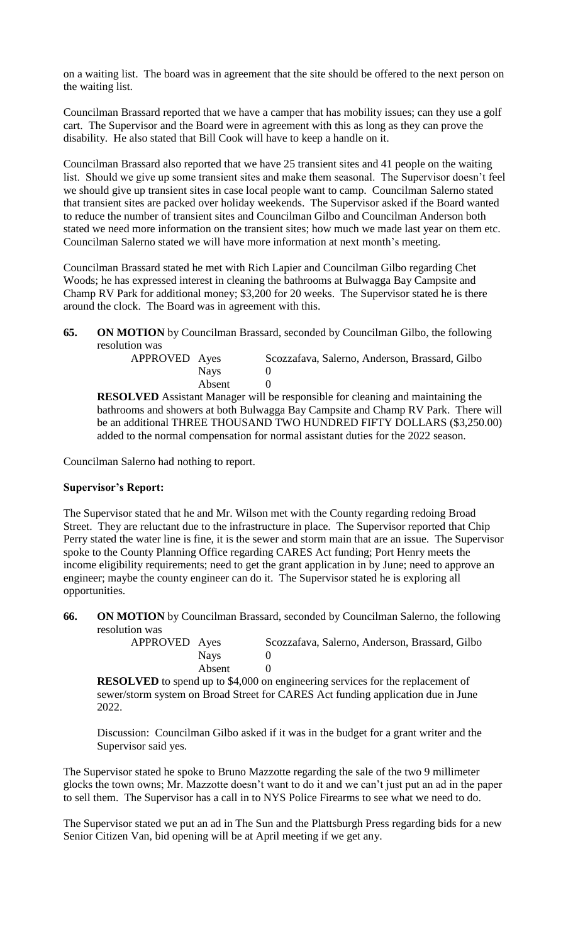on a waiting list. The board was in agreement that the site should be offered to the next person on the waiting list.

Councilman Brassard reported that we have a camper that has mobility issues; can they use a golf cart. The Supervisor and the Board were in agreement with this as long as they can prove the disability. He also stated that Bill Cook will have to keep a handle on it.

Councilman Brassard also reported that we have 25 transient sites and 41 people on the waiting list. Should we give up some transient sites and make them seasonal. The Supervisor doesn't feel we should give up transient sites in case local people want to camp. Councilman Salerno stated that transient sites are packed over holiday weekends. The Supervisor asked if the Board wanted to reduce the number of transient sites and Councilman Gilbo and Councilman Anderson both stated we need more information on the transient sites; how much we made last year on them etc. Councilman Salerno stated we will have more information at next month's meeting.

Councilman Brassard stated he met with Rich Lapier and Councilman Gilbo regarding Chet Woods; he has expressed interest in cleaning the bathrooms at Bulwagga Bay Campsite and Champ RV Park for additional money; \$3,200 for 20 weeks. The Supervisor stated he is there around the clock. The Board was in agreement with this.

**65. ON MOTION** by Councilman Brassard, seconded by Councilman Gilbo, the following resolution was

| APPROVED Ayes |        | Scozzafava, Salerno, Anderson, Brassard, Gilbo |
|---------------|--------|------------------------------------------------|
|               | Navs   |                                                |
|               | Absent |                                                |

**RESOLVED** Assistant Manager will be responsible for cleaning and maintaining the bathrooms and showers at both Bulwagga Bay Campsite and Champ RV Park. There will be an additional THREE THOUSAND TWO HUNDRED FIFTY DOLLARS (\$3,250.00) added to the normal compensation for normal assistant duties for the 2022 season.

Councilman Salerno had nothing to report.

# **Supervisor's Report:**

The Supervisor stated that he and Mr. Wilson met with the County regarding redoing Broad Street. They are reluctant due to the infrastructure in place. The Supervisor reported that Chip Perry stated the water line is fine, it is the sewer and storm main that are an issue. The Supervisor spoke to the County Planning Office regarding CARES Act funding; Port Henry meets the income eligibility requirements; need to get the grant application in by June; need to approve an engineer; maybe the county engineer can do it. The Supervisor stated he is exploring all opportunities.

**66. ON MOTION** by Councilman Brassard, seconded by Councilman Salerno, the following resolution was

| APPROVED Ayes |        | Scozzafava, Salerno, Anderson, Brassard, Gilbo |
|---------------|--------|------------------------------------------------|
|               | Navs   |                                                |
|               | Absent |                                                |

**RESOLVED** to spend up to \$4,000 on engineering services for the replacement of sewer/storm system on Broad Street for CARES Act funding application due in June 2022.

Discussion: Councilman Gilbo asked if it was in the budget for a grant writer and the Supervisor said yes.

The Supervisor stated he spoke to Bruno Mazzotte regarding the sale of the two 9 millimeter glocks the town owns; Mr. Mazzotte doesn't want to do it and we can't just put an ad in the paper to sell them. The Supervisor has a call in to NYS Police Firearms to see what we need to do.

The Supervisor stated we put an ad in The Sun and the Plattsburgh Press regarding bids for a new Senior Citizen Van, bid opening will be at April meeting if we get any.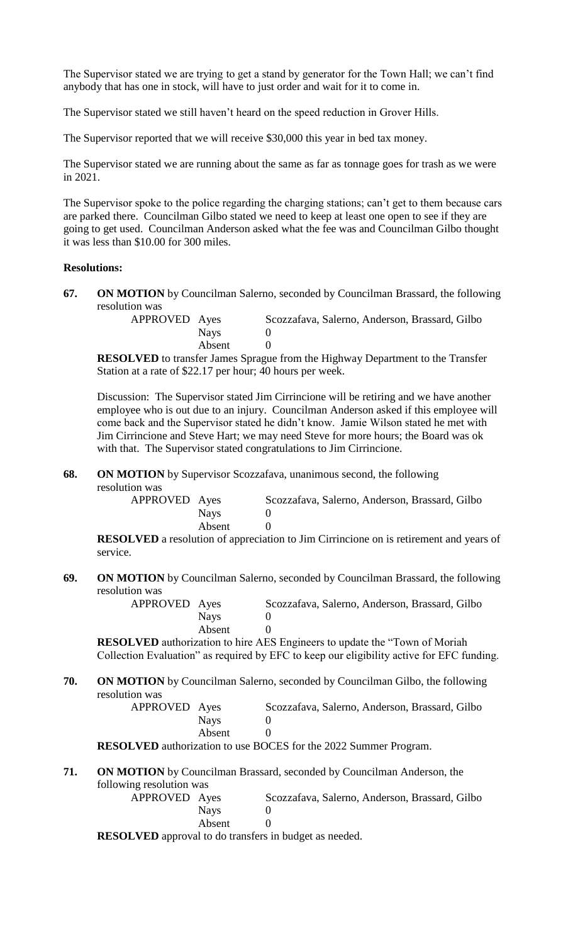The Supervisor stated we are trying to get a stand by generator for the Town Hall; we can't find anybody that has one in stock, will have to just order and wait for it to come in.

The Supervisor stated we still haven't heard on the speed reduction in Grover Hills.

The Supervisor reported that we will receive \$30,000 this year in bed tax money.

The Supervisor stated we are running about the same as far as tonnage goes for trash as we were in 2021.

The Supervisor spoke to the police regarding the charging stations; can't get to them because cars are parked there. Councilman Gilbo stated we need to keep at least one open to see if they are going to get used. Councilman Anderson asked what the fee was and Councilman Gilbo thought it was less than \$10.00 for 300 miles.

### **Resolutions:**

**67. ON MOTION** by Councilman Salerno, seconded by Councilman Brassard, the following resolution was

> APPROVED Ayes Scozzafava, Salerno, Anderson, Brassard, Gilbo Nays 0 Absent 0

**RESOLVED** to transfer James Sprague from the Highway Department to the Transfer Station at a rate of \$22.17 per hour; 40 hours per week.

Discussion: The Supervisor stated Jim Cirrincione will be retiring and we have another employee who is out due to an injury. Councilman Anderson asked if this employee will come back and the Supervisor stated he didn't know. Jamie Wilson stated he met with Jim Cirrincione and Steve Hart; we may need Steve for more hours; the Board was ok with that. The Supervisor stated congratulations to Jim Cirrincione.

**68. ON MOTION** by Supervisor Scozzafava, unanimous second, the following

resolution was

| APPROVED Ayes |        | Scozzafava, Salerno, Anderson, Brassard, Gilbo |
|---------------|--------|------------------------------------------------|
|               | Navs   |                                                |
|               | Absent |                                                |

**RESOLVED** a resolution of appreciation to Jim Cirrincione on is retirement and years of service.

**69. ON MOTION** by Councilman Salerno, seconded by Councilman Brassard, the following resolution was

| APPROVED Ayes |             | Scozzafava, Salerno, Anderson, Brassard, Gilbo |
|---------------|-------------|------------------------------------------------|
|               | <b>Navs</b> |                                                |
|               | Absent      |                                                |

**RESOLVED** authorization to hire AES Engineers to update the "Town of Moriah Collection Evaluation" as required by EFC to keep our eligibility active for EFC funding.

**70. ON MOTION** by Councilman Salerno, seconded by Councilman Gilbo, the following resolution was

> APPROVED Ayes Scozzafava, Salerno, Anderson, Brassard, Gilbo Nays 0 Absent 0

**RESOLVED** authorization to use BOCES for the 2022 Summer Program.

**71. ON MOTION** by Councilman Brassard, seconded by Councilman Anderson, the following resolution was

| APPROVED Ayes |        | Scozzafava, Salerno, Anderson, Brassard, Gilbo |
|---------------|--------|------------------------------------------------|
|               | Navs   |                                                |
|               | Absent |                                                |

**RESOLVED** approval to do transfers in budget as needed.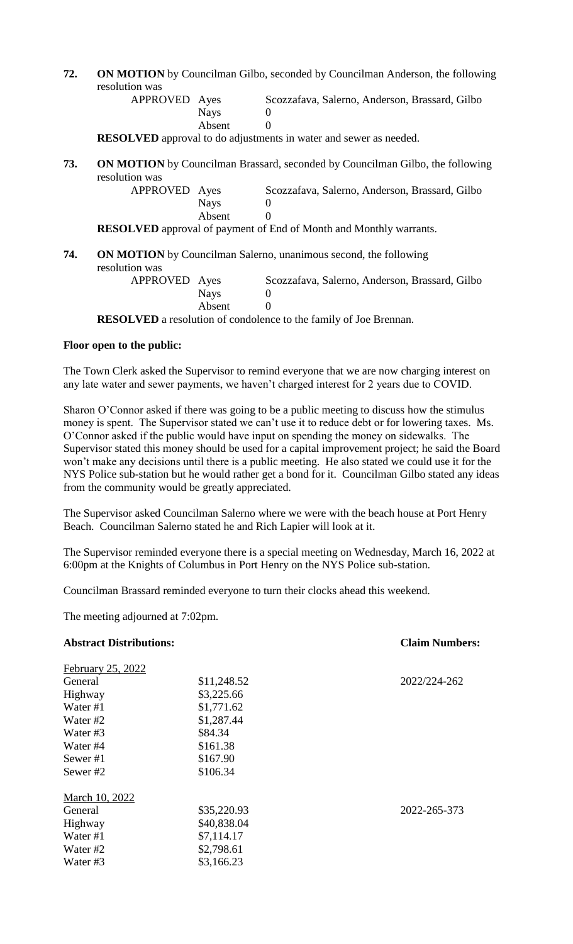**72. ON MOTION** by Councilman Gilbo, seconded by Councilman Anderson, the following resolution was

| APPROVED Ayes |        | Scozzafava, Salerno, Anderson, Brassard, Gilbo |
|---------------|--------|------------------------------------------------|
|               | Navs   |                                                |
|               | Absent |                                                |
|               |        |                                                |

**RESOLVED** approval to do adjustments in water and sewer as needed.

**73. ON MOTION** by Councilman Brassard, seconded by Councilman Gilbo, the following resolution was APPROVED

| Ayes        | Scozzafava, Salerno, Anderson, Brassard, Gilbo |
|-------------|------------------------------------------------|
| <b>Nays</b> |                                                |
| Absent      |                                                |

**RESOLVED** approval of payment of End of Month and Monthly warrants.

### **74. ON MOTION** by Councilman Salerno, unanimous second, the following resolution was

| APPROVED Ayes |          | Scozzafava, Salerno, Anderson, Brassard, Gilbo                                                                                                                                                                                                                                                                                                                                                                                                                                             |
|---------------|----------|--------------------------------------------------------------------------------------------------------------------------------------------------------------------------------------------------------------------------------------------------------------------------------------------------------------------------------------------------------------------------------------------------------------------------------------------------------------------------------------------|
|               | Nays     |                                                                                                                                                                                                                                                                                                                                                                                                                                                                                            |
|               | Absent   |                                                                                                                                                                                                                                                                                                                                                                                                                                                                                            |
| 'AT TITR      | $\cdots$ | $\blacksquare$ $\blacksquare$ $\blacksquare$ $\blacksquare$ $\blacksquare$ $\blacksquare$ $\blacksquare$ $\blacksquare$ $\blacksquare$ $\blacksquare$ $\blacksquare$ $\blacksquare$ $\blacksquare$ $\blacksquare$ $\blacksquare$ $\blacksquare$ $\blacksquare$ $\blacksquare$ $\blacksquare$ $\blacksquare$ $\blacksquare$ $\blacksquare$ $\blacksquare$ $\blacksquare$ $\blacksquare$ $\blacksquare$ $\blacksquare$ $\blacksquare$ $\blacksquare$ $\blacksquare$ $\blacksquare$ $\blacks$ |

**RESOLVED** a resolution of condolence to the family of Joe Brennan.

#### **Floor open to the public:**

The Town Clerk asked the Supervisor to remind everyone that we are now charging interest on any late water and sewer payments, we haven't charged interest for 2 years due to COVID.

Sharon O'Connor asked if there was going to be a public meeting to discuss how the stimulus money is spent. The Supervisor stated we can't use it to reduce debt or for lowering taxes. Ms. O'Connor asked if the public would have input on spending the money on sidewalks. The Supervisor stated this money should be used for a capital improvement project; he said the Board won't make any decisions until there is a public meeting. He also stated we could use it for the NYS Police sub-station but he would rather get a bond for it. Councilman Gilbo stated any ideas from the community would be greatly appreciated.

The Supervisor asked Councilman Salerno where we were with the beach house at Port Henry Beach. Councilman Salerno stated he and Rich Lapier will look at it.

The Supervisor reminded everyone there is a special meeting on Wednesday, March 16, 2022 at 6:00pm at the Knights of Columbus in Port Henry on the NYS Police sub-station.

Councilman Brassard reminded everyone to turn their clocks ahead this weekend.

The meeting adjourned at 7:02pm.

### **Abstract Distributions: Claim Numbers:**

 $F_{\text{eff}} = 25, 2022$ 

| $F$ edruary 25, 2022 |             |              |
|----------------------|-------------|--------------|
| General              | \$11,248.52 | 2022/224-262 |
| Highway              | \$3,225.66  |              |
| Water $#1$           | \$1,771.62  |              |
| Water #2             | \$1,287.44  |              |
| Water #3             | \$84.34     |              |
| Water #4             | \$161.38    |              |
| Sewer #1             | \$167.90    |              |
| Sewer#2              | \$106.34    |              |
| March 10, 2022       |             |              |
| General              | \$35,220.93 | 2022-265-373 |
| Highway              | \$40,838.04 |              |
| Water #1             | \$7,114.17  |              |
| Water #2             | \$2,798.61  |              |
| Water #3             | \$3,166.23  |              |